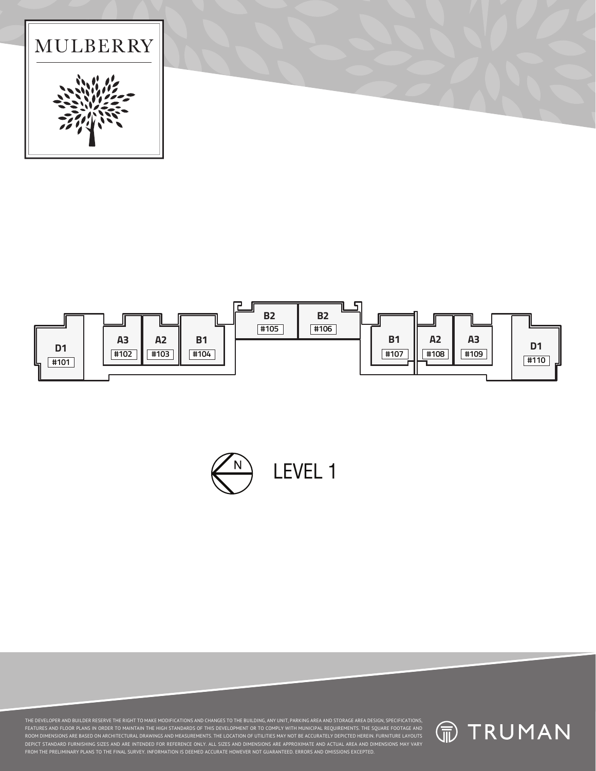





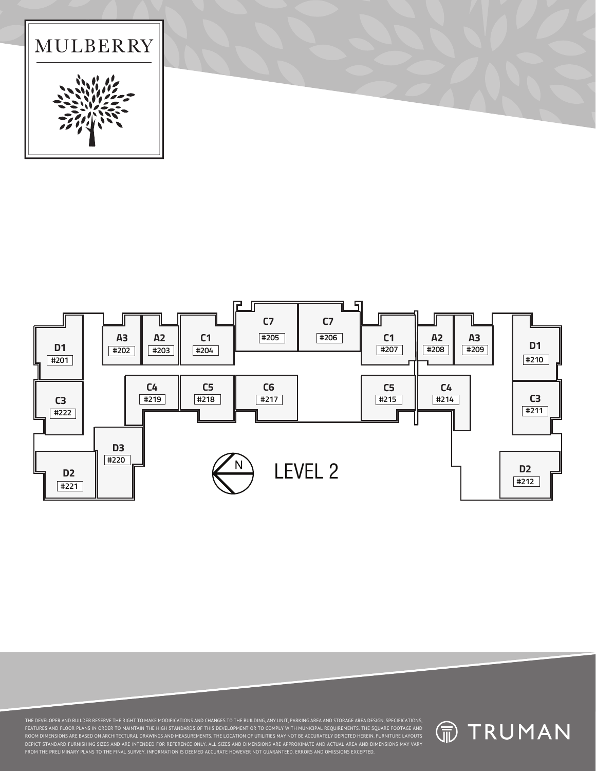



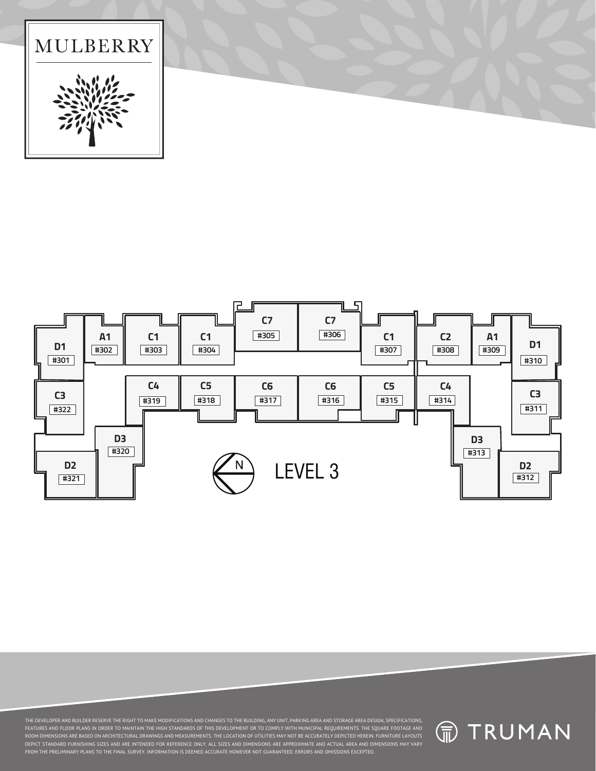



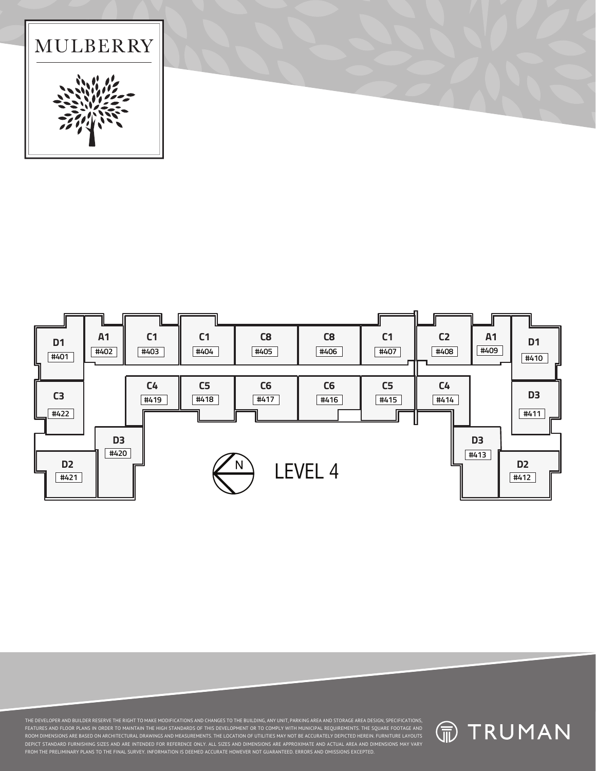